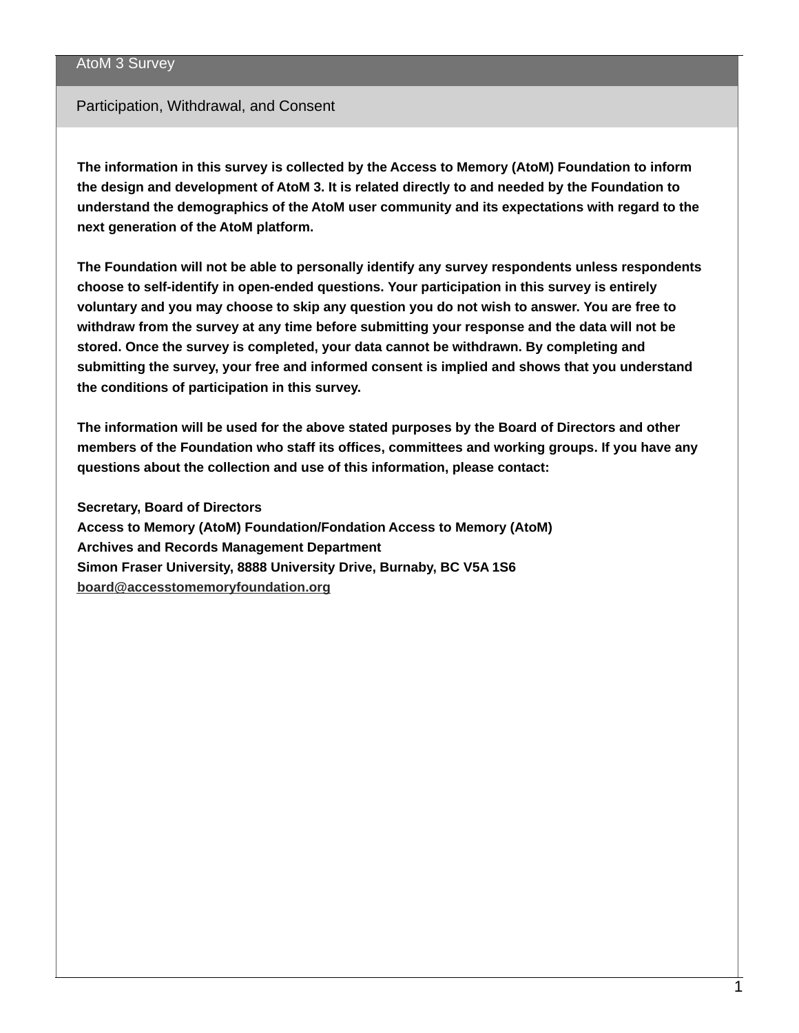#### Participation, Withdrawal, and Consent

**The information in this survey is collected by the Access to Memory (AtoM) Foundation to inform the design and development of AtoM 3. It is related directly to and needed by the Foundation to understand the demographics of the AtoM user community and its expectations with regard to the next generation of the AtoM platform.**

**The Foundation will not be able to personally identify any survey respondents unless respondents choose to self-identify in open-ended questions. Your participation in this survey is entirely** voluntary and you may choose to skip any question you do not wish to answer. You are free to **withdraw from the survey at any time before submitting your response and the data will not be stored. Once the survey is completed, your data cannot be withdrawn. By completing and submitting the survey, your free and informed consent is implied and shows that you understand the conditions of participation in this survey.**

**The information will be used for the above stated purposes by the Board of Directors and other members of the Foundation who staff its offices, committees and working groups. If you have any questions about the collection and use of this information, please contact:**

**Secretary, Board of Directors**

**Access to Memory (AtoM) Foundation/Fondation Access to Memory (AtoM) Archives and Records Management Department Simon Fraser University, 8888 University Drive, Burnaby, BC V5A 1S6 [board@accesstomemoryfoundation.org](mailto:board@accesstomemoryfoundation.org)**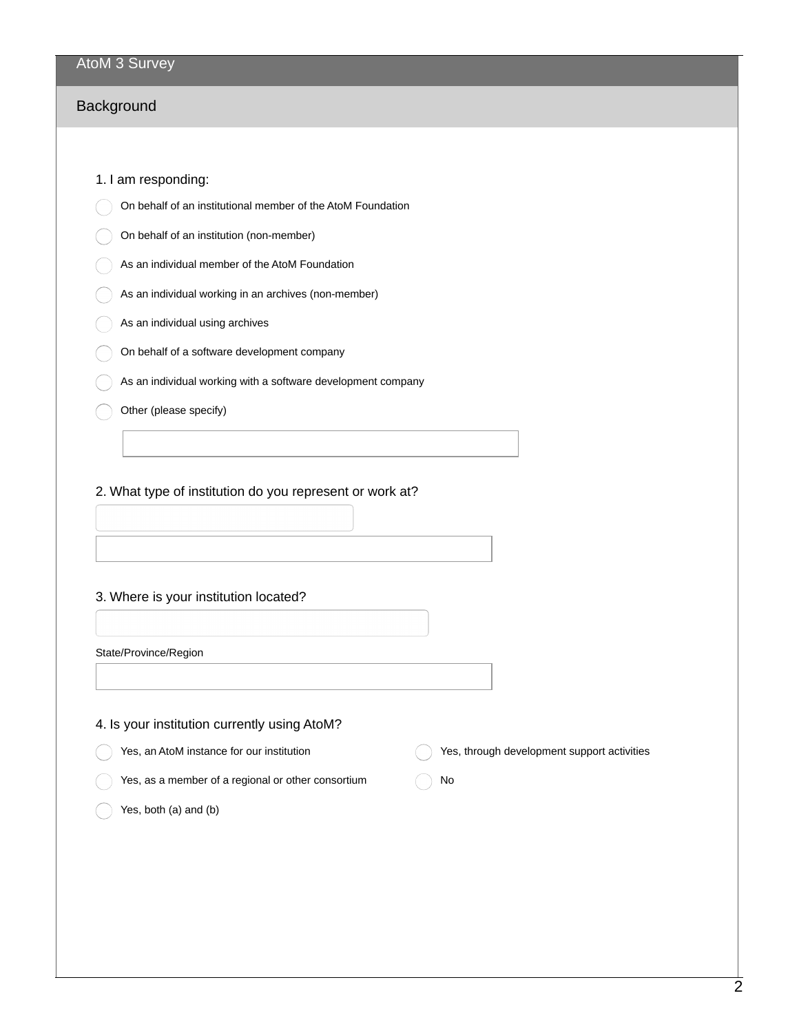## Background

#### 1. I am responding:

- On behalf of an institutional member of the AtoM Foundation
- On behalf of an institution (non-member)
- As an individual member of the AtoM Foundation
- As an individual working in an archives (non-member)
- As an individual using archives
- On behalf of a software development company
- As an individual working with a software development company
- Other (please specify)

#### 2. What type of institution do you represent or work at?

#### 3. Where is your institution located?

| State/Province/Region |
|-----------------------|
|-----------------------|

#### 4. Is your institution currently using AtoM?

- Yes, an AtoM instance for our institution
	- Yes, as a member of a regional or other consortium
- Yes, through development support activities
- No

Yes, both (a) and (b)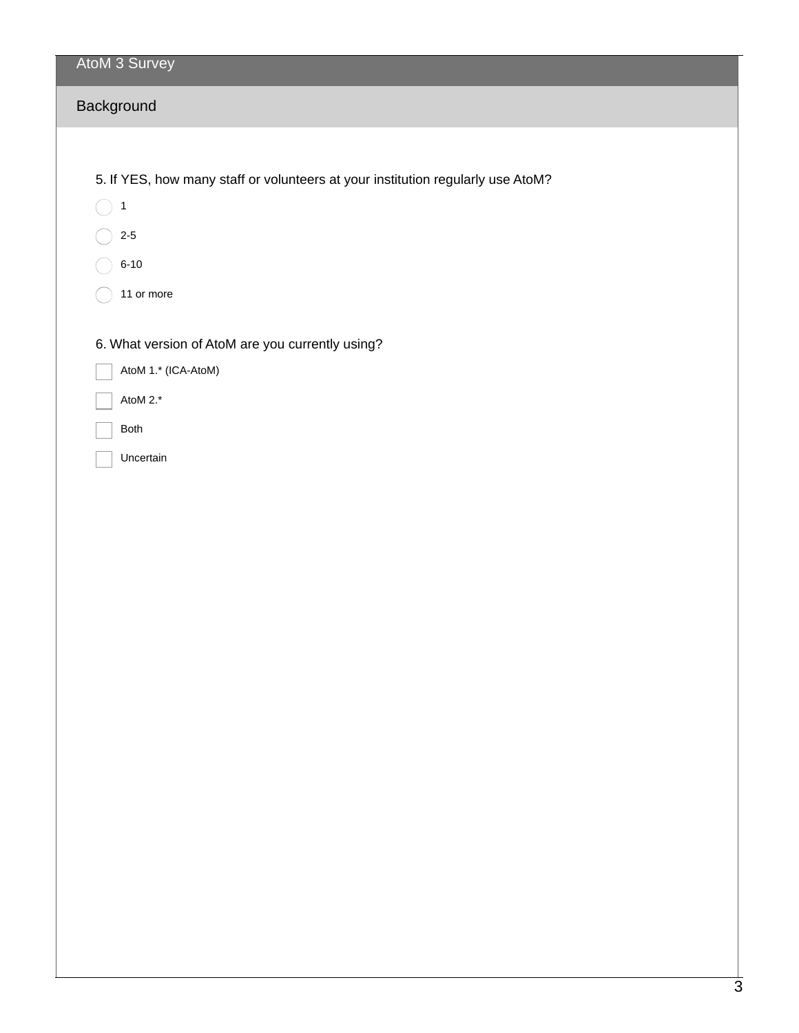| AtoM 3 Survey                                                                   |
|---------------------------------------------------------------------------------|
| Background                                                                      |
|                                                                                 |
| 5. If YES, how many staff or volunteers at your institution regularly use AtoM? |
| $\mathbf{1}$                                                                    |
| $2 - 5$                                                                         |

- 6-10  $(\ )$
- 11 or more  $\bigcirc$

6. What version of AtoM are you currently using?

| AtoM 1.* (ICA-AtoM) |  |
|---------------------|--|
|---------------------|--|

- AtoM 2.\*
- Both
- Uncertain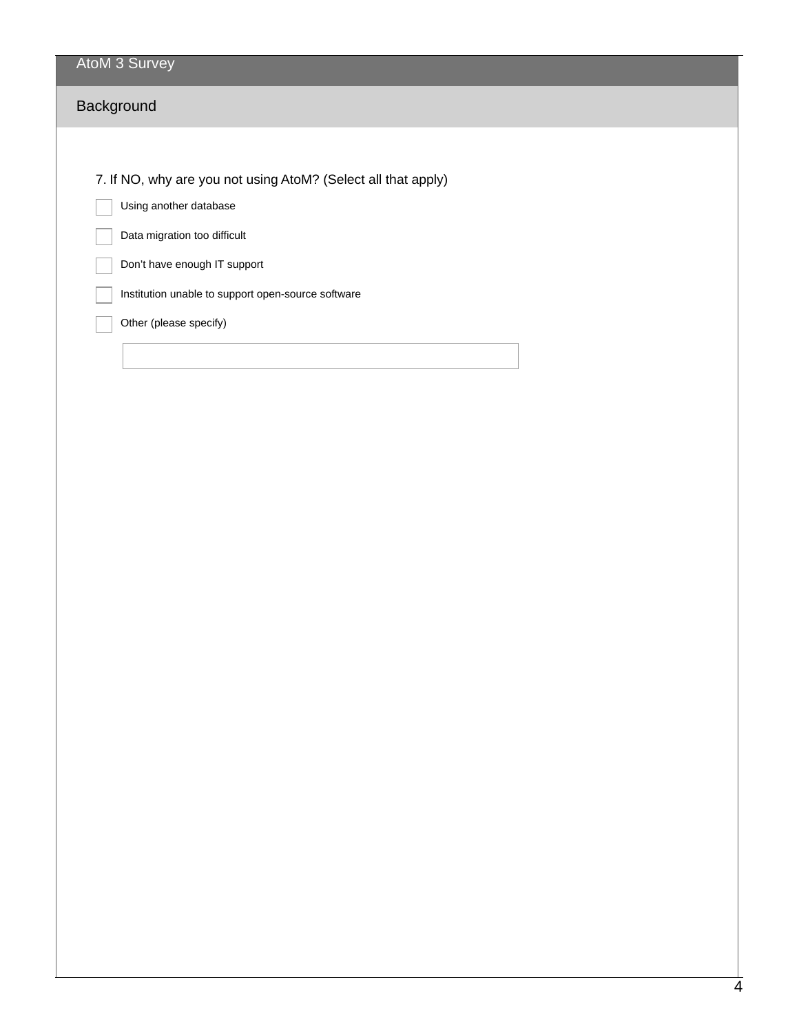# **Background**

7. If NO, why are you not using AtoM? (Select all that apply)

Using another database

Data migration too difficult

Don't have enough IT support

Institution unable to support open-source software

Other (please specify)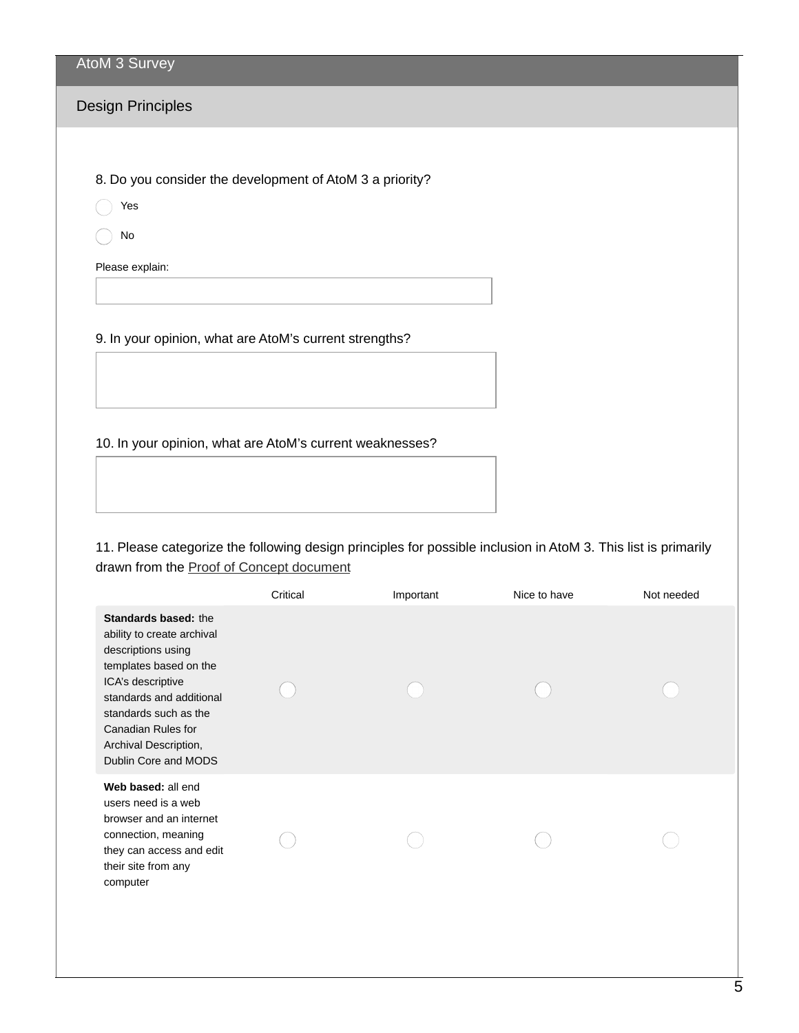## Design Principles

8. Do you consider the development of AtoM 3 a priority?

Yes

No

Please explain:

9. In your opinion, what are AtoM's current strengths?

10. In your opinion, what are AtoM's current weaknesses?

11. Please categorize the following design principles for possible inclusion in AtoM 3. This list is primarily drawn from the Proof of Concept [document](https://accesstomemoryfoundation.org/development/)

|                                                                                                                                                                                                                                                            | Critical | Important | Nice to have | Not needed |
|------------------------------------------------------------------------------------------------------------------------------------------------------------------------------------------------------------------------------------------------------------|----------|-----------|--------------|------------|
| <b>Standards based: the</b><br>ability to create archival<br>descriptions using<br>templates based on the<br>ICA's descriptive<br>standards and additional<br>standards such as the<br>Canadian Rules for<br>Archival Description,<br>Dublin Core and MODS |          |           |              |            |
| Web based: all end<br>users need is a web<br>browser and an internet<br>connection, meaning<br>they can access and edit<br>their site from any<br>computer                                                                                                 |          |           |              |            |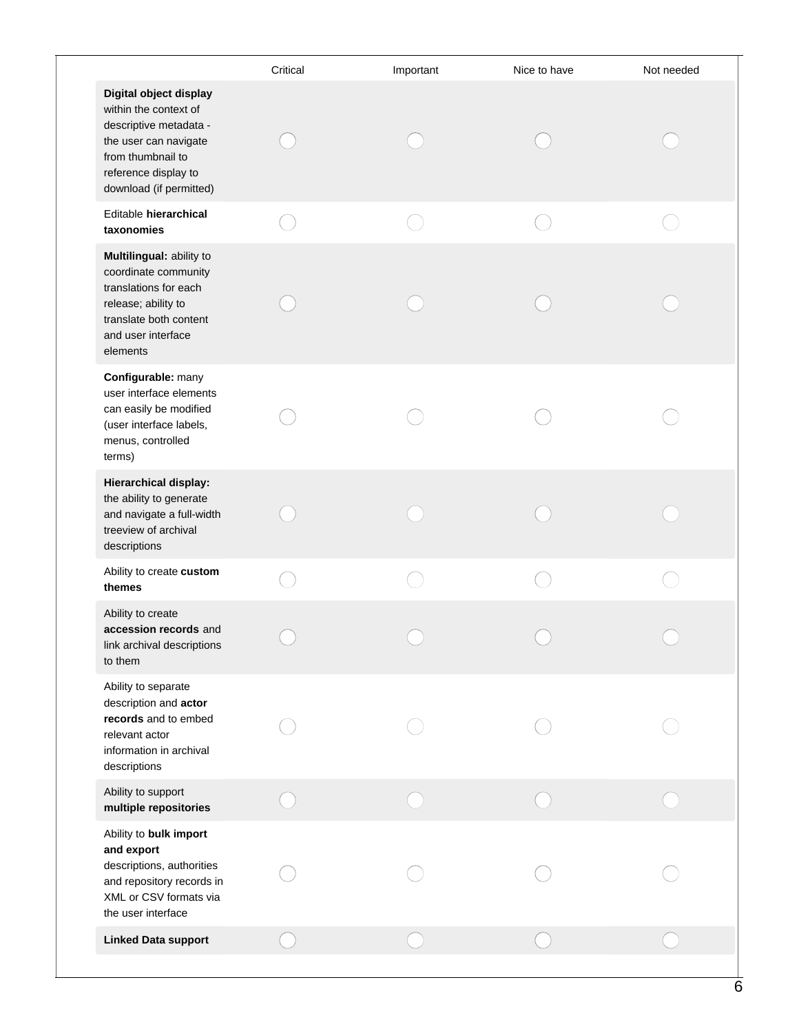|                                                                                                                                                                            | Critical | Important | Nice to have | Not needed |
|----------------------------------------------------------------------------------------------------------------------------------------------------------------------------|----------|-----------|--------------|------------|
| Digital object display<br>within the context of<br>descriptive metadata -<br>the user can navigate<br>from thumbnail to<br>reference display to<br>download (if permitted) |          |           |              |            |
| Editable hierarchical<br>taxonomies                                                                                                                                        |          |           |              |            |
| Multilingual: ability to<br>coordinate community<br>translations for each<br>release; ability to<br>translate both content<br>and user interface<br>elements               |          |           |              |            |
| Configurable: many<br>user interface elements<br>can easily be modified<br>(user interface labels,<br>menus, controlled<br>terms)                                          |          |           |              |            |
| <b>Hierarchical display:</b><br>the ability to generate<br>and navigate a full-width<br>treeview of archival<br>descriptions                                               |          |           |              |            |
| Ability to create custom<br>themes                                                                                                                                         |          |           |              |            |
| Ability to create<br>accession records and<br>link archival descriptions<br>to them                                                                                        |          |           |              |            |
| Ability to separate<br>description and actor<br>records and to embed<br>relevant actor<br>information in archival<br>descriptions                                          |          |           |              |            |
| Ability to support<br>multiple repositories                                                                                                                                |          |           |              |            |
| Ability to bulk import<br>and export<br>descriptions, authorities<br>and repository records in<br>XML or CSV formats via<br>the user interface                             |          |           |              |            |
| <b>Linked Data support</b>                                                                                                                                                 |          |           |              |            |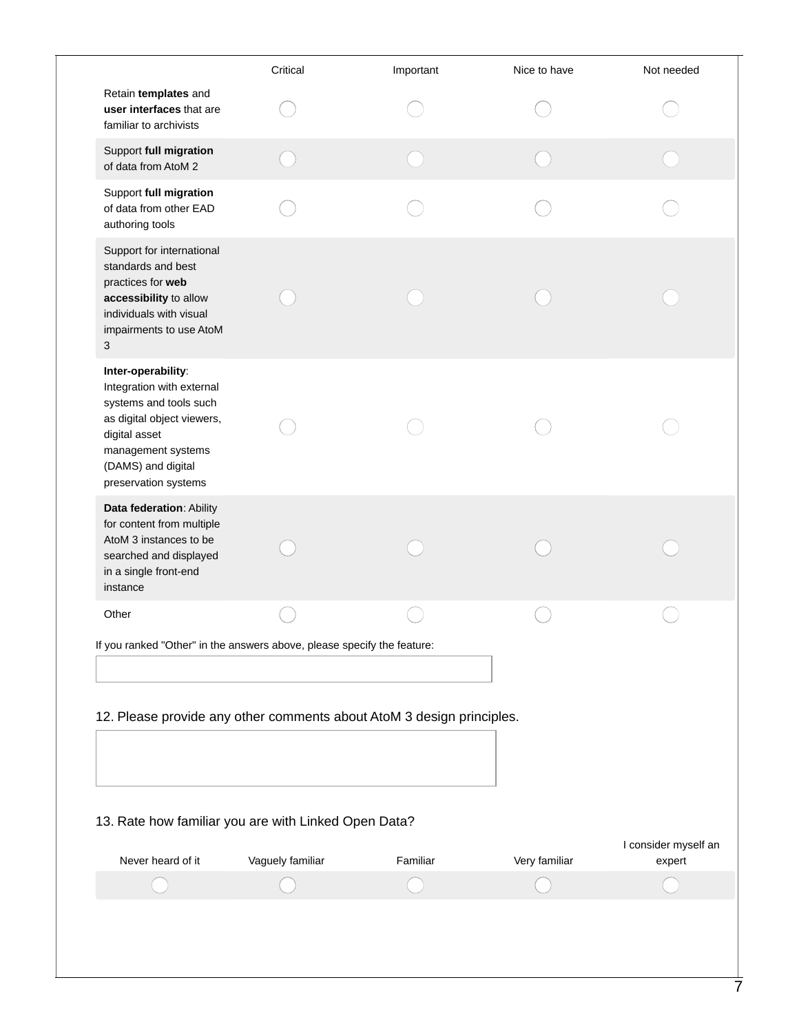| If you ranked "Other" in the answers above, please specify the feature:<br>12. Please provide any other comments about AtoM 3 design principles. |               |                                                      |
|--------------------------------------------------------------------------------------------------------------------------------------------------|---------------|------------------------------------------------------|
|                                                                                                                                                  |               | I consider myself an                                 |
| Vaguely familiar<br>Familiar                                                                                                                     | Very familiar | expert                                               |
|                                                                                                                                                  |               | 13. Rate how familiar you are with Linked Open Data? |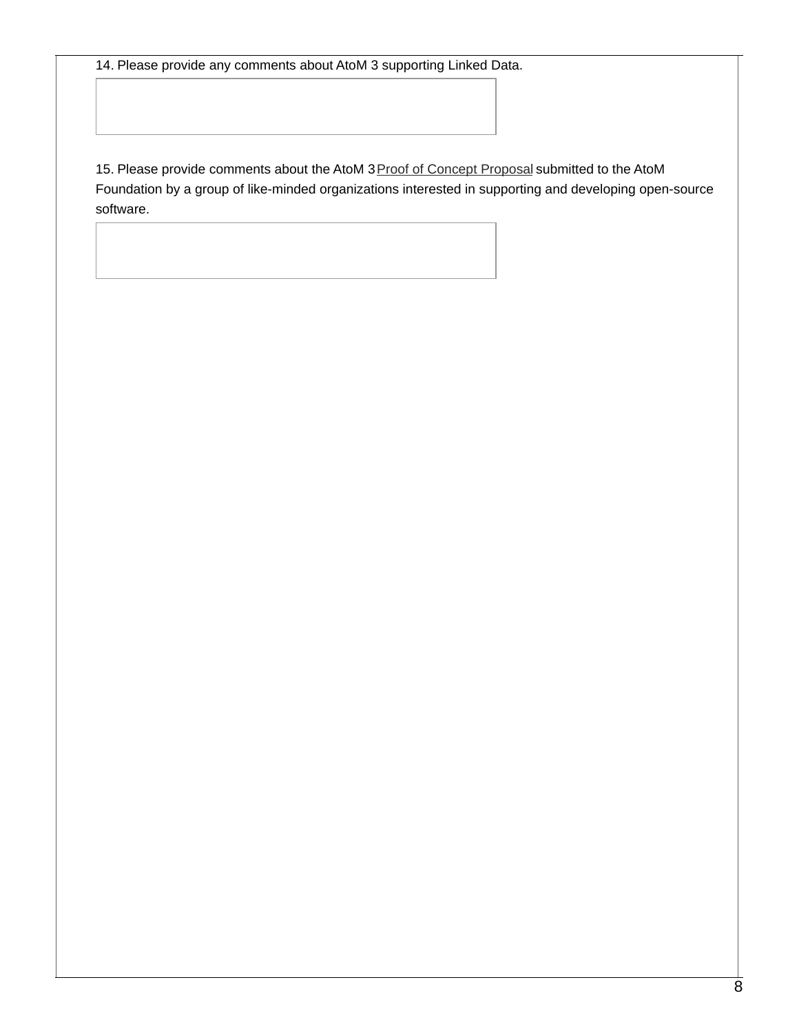14. Please provide any comments about AtoM 3 supporting Linked Data.

15. Please provide comments about the AtoM 3 Proof of Concept [Proposal](https://accesstomemoryfoundation.org/development/) submitted to the AtoM Foundation by a group of like-minded organizations interested in supporting and developing open-source software.